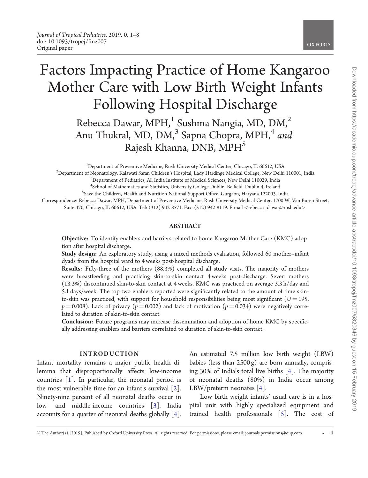# Factors Impacting Practice of Home Kangaroo Mother Care with Low Birth Weight Infants Following Hospital Discharge

Rebecca Dawar, MPH,<sup>1</sup> Sushma Nangia, MD, DM,<sup>2</sup> Anu Thukral, MD, DM,<sup>3</sup> Sapna Chopra, MPH,<sup>4</sup> and Rajesh Khanna, DNB, MPH<sup>5</sup>

<sup>1</sup>Department of Preventive Medicine, Rush University Medical Center, Chicago, IL 60612, USA<br><sup>2</sup>Department of Neonatology, Kalawati Saran Children's Hospital, Lady Hardinge Medical College, New Delhi

<sup>2</sup>Department of Neonatology, Kalawati Saran Children's Hospital, Lady Hardinge Medical College, New Delhi 110001, India

<sup>3</sup>Department of Pediatrics, All India Institute of Medical Sciences, New Delhi 110029, India

<sup>4</sup>School of Mathematics and Statistics, University College Dublin, Belfield, Dublin 4, Ireland<br><sup>5</sup>Save the Children, Health and Nutrition National Support Office, Gurgaon, Harvana 122003, I

 $5$ Save the Children, Health and Nutrition National Support Office, Gurgaon, Haryana 122003, India

Correspondence: Rebecca Dawar, MPH, Department of Preventive Medicine, Rush University Medical Center, 1700 W. Van Buren Street, Suite 470, Chicago, IL 60612, USA. Tel: (312) 942-8571. Fax: (312) 942-8119. E-mail <rebecca\_dawar@rush.edu>.

#### ABSTRACT

Objective: To identify enablers and barriers related to home Kangaroo Mother Care (KMC) adoption after hospital discharge.

Study design: An exploratory study, using a mixed methods evaluation, followed 60 mother–infant dyads from the hospital ward to 4 weeks post-hospital discharge.

Results: Fifty-three of the mothers (88.3%) completed all study visits. The majority of mothers were breastfeeding and practicing skin-to-skin contact 4 weeks post-discharge. Seven mothers (13.2%) discontinued skin-to-skin contact at 4 weeks. KMC was practiced on average 3.3 h/day and 5.1 days/week. The top two enablers reported were significantly related to the amount of time skinto-skin was practiced, with support for household responsibilities being most significant  $(U = 195,$  $p = 0.008$ ). Lack of privacy ( $p = 0.002$ ) and lack of motivation ( $p = 0.034$ ) were negatively correlated to duration of skin-to-skin contact.

Conclusion: Future programs may increase dissemination and adoption of home KMC by specifically addressing enablers and barriers correlated to duration of skin-to-skin contact.

# INTRODUCTION

Infant mortality remains a major public health dilemma that disproportionally affects low-income countries [1]. In particular, the neonatal period is the most vulnerable time for an infant's survival [2]. Ninety-nine percent of all neonatal deaths occur in low- and middle-income countries [3]. India accounts for a quarter of neonatal deaths globally [4].

An estimated 7.5 million low birth weight (LBW) babies (less than  $2500 g$ ) are born annually, comprising 30% of India's total live births [4]. The majority of neonatal deaths (80%) in India occur among LBW/preterm neonates [4].

Low birth weight infants' usual care is in a hospital unit with highly specialized equipment and trained health professionals [5]. The cost of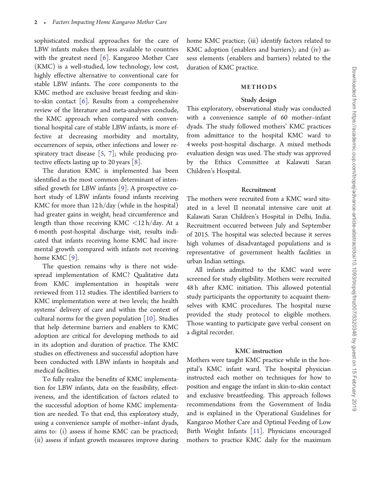sophisticated medical approaches for the care of LBW infants makes them less available to countries with the greatest need [6]. Kangaroo Mother Care (KMC) is a well-studied, low technology, low cost, highly effective alternative to conventional care for stable LBW infants. The core components to the KMC method are exclusive breast feeding and skinto-skin contact [6]. Results from a comprehensive review of the literature and meta-analyses conclude, the KMC approach when compared with conventional hospital care of stable LBW infants, is more effective at decreasing morbidity and mortality, occurrences of sepsis, other infections and lower respiratory tract disease  $[5, 7]$ ; while producing protective effects lasting up to 20 years  $[8]$ .

The duration KMC is implemented has been identified as the most common determinant of intensified growth for LBW infants [9]. A prospective cohort study of LBW infants found infants receiving KMC for more than 12 h/day (while in the hospital) had greater gains in weight, head circumference and length than those receiving KMC <12 h/day. At a 6 month post-hospital discharge visit, results indicated that infants receiving home KMC had incremental growth compared with infants not receiving home KMC [9].

The question remains why is there not widespread implementation of KMC? Qualitative data from KMC implementation in hospitals were reviewed from 112 studies. The identified barriers to KMC implementation were at two levels; the health systems' delivery of care and within the context of cultural norms for the given population [10]. Studies that help determine barriers and enablers to KMC adoption are critical for developing methods to aid in its adoption and duration of practice. The KMC studies on effectiveness and successful adoption have been conducted with LBW infants in hospitals and medical facilities.

To fully realize the benefits of KMC implementation for LBW infants, data on the feasibility, effectiveness, and the identification of factors related to the successful adoption of home KMC implementation are needed. To that end, this exploratory study, using a convenience sample of mother–infant dyads, aims to: (i) assess if home KMC can be practiced; (ii) assess if infant growth measures improve during home KMC practice; (iii) identify factors related to KMC adoption (enablers and barriers); and (iv) assess elements (enablers and barriers) related to the duration of KMC practice.

#### METHODS

#### Study design

This exploratory, observational study was conducted with a convenience sample of 60 mother–infant dyads. The study followed mothers' KMC practices from admittance to the hospital KMC ward to 4 weeks post-hospital discharge. A mixed methods evaluation design was used. The study was approved by the Ethics Committee at Kalawati Saran Children's Hospital.

#### Recruitment

The mothers were recruited from a KMC ward situated in a level II neonatal intensive care unit at Kalawati Saran Children's Hospital in Delhi, India. Recruitment occurred between July and September of 2015. The hospital was selected because it serves high volumes of disadvantaged populations and is representative of government health facilities in urban Indian settings.

All infants admitted to the KMC ward were screened for study eligibility. Mothers were recruited 48 h after KMC initiation. This allowed potential study participants the opportunity to acquaint themselves with KMC procedures. The hospital nurse provided the study protocol to eligible mothers. Those wanting to participate gave verbal consent on a digital recorder.

#### KMC instruction

Mothers were taught KMC practice while in the hospital's KMC infant ward. The hospital physician instructed each mother on techniques for how to position and engage the infant in skin-to-skin contact and exclusive breastfeeding. This approach follows recommendations from the Government of India and is explained in the Operational Guidelines for Kangaroo Mother Care and Optimal Feeding of Low Birth Weight Infants [11]. Physicians encouraged mothers to practice KMC daily for the maximum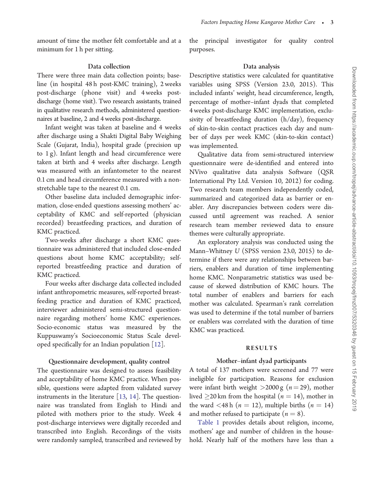amount of time the mother felt comfortable and at a minimum for 1 h per sitting.

# Data collection

There were three main data collection points; baseline (in hospital 48 h post-KMC training), 2 weeks post-discharge (phone visit) and 4 weeks postdischarge (home visit). Two research assistants, trained in qualitative research methods, administered questionnaires at baseline, 2 and 4 weeks post-discharge.

Infant weight was taken at baseline and 4 weeks after discharge using a Shakti Digital Baby Weighing Scale (Gujarat, India), hospital grade (precision up to 1 g). Infant length and head circumference were taken at birth and 4 weeks after discharge. Length was measured with an infantometer to the nearest 0.1 cm and head circumference measured with a nonstretchable tape to the nearest 0.1 cm.

Other baseline data included demographic information, close-ended questions assessing mothers' acceptability of KMC and self-reported (physician recorded) breastfeeding practices, and duration of KMC practiced.

Two-weeks after discharge a short KMC questionnaire was administered that included close-ended questions about home KMC acceptability; selfreported breastfeeding practice and duration of KMC practiced.

Four weeks after discharge data collected included infant anthropometric measures, self-reported breastfeeding practice and duration of KMC practiced, interviewer administered semi-structured questionnaire regarding mothers' home KMC experiences. Socio-economic status was measured by the Kuppuswamy's Socioeconomic Status Scale developed specifically for an Indian population [12].

# Questionnaire development, quality control

The questionnaire was designed to assess feasibility and acceptability of home KMC practice. When possible, questions were adapted from validated survey instruments in the literature  $[13, 14]$ . The questionnaire was translated from English to Hindi and piloted with mothers prior to the study. Week 4 post-discharge interviews were digitally recorded and transcribed into English. Recordings of the visits were randomly sampled, transcribed and reviewed by the principal investigator for quality control purposes.

# Data analysis

Descriptive statistics were calculated for quantitative variables using SPSS (Version 23.0, 2015). This included infants' weight, head circumference, length, percentage of mother–infant dyads that completed 4 weeks post-discharge KMC implementation, exclusivity of breastfeeding duration (h/day), frequency of skin-to-skin contact practices each day and number of days per week KMC (skin-to-skin contact) was implemented.

Qualitative data from semi-structured interview questionnaire were de-identified and entered into NVivo qualitative data analysis Software (QSR International Pty Ltd. Version 10, 2012) for coding. Two research team members independently coded, summarized and categorized data as barrier or enabler. Any discrepancies between coders were discussed until agreement was reached. A senior research team member reviewed data to ensure themes were culturally appropriate.

An exploratory analysis was conducted using the Mann–Whitney U (SPSS version 23.0, 2015) to determine if there were any relationships between barriers, enablers and duration of time implementing home KMC. Nonparametric statistics was used because of skewed distribution of KMC hours. The total number of enablers and barriers for each mother was calculated. Spearman's rank correlation was used to determine if the total number of barriers or enablers was correlated with the duration of time KMC was practiced.

# RESULTS

# Mother–infant dyad participants

A total of 137 mothers were screened and 77 were ineligible for participation. Reasons for exclusion were infant birth weight  $>$ 2000 g (n = 29), mother lived  $\geq$ 20 km from the hospital (*n* = 14), mother in the ward  $\langle 48h (n = 12)$ , multiple births  $(n = 14)$ and mother refused to participate  $(n = 8)$ .

Table 1 provides details about religion, income, mothers' age and number of children in the household. Nearly half of the mothers have less than a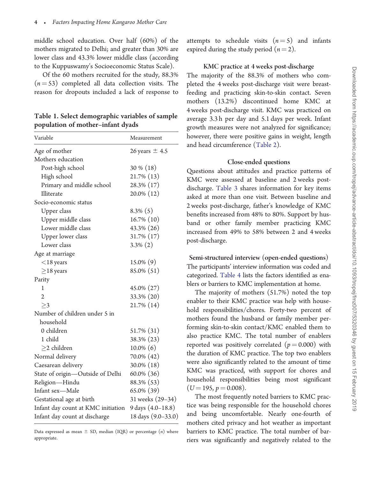middle school education. Over half (60%) of the mothers migrated to Delhi; and greater than 30% are lower class and 43.3% lower middle class (according to the Kuppuswamy's Socioeconomic Status Scale).

Of the 60 mothers recruited for the study, 88.3%  $(n = 53)$  completed all data collection visits. The reason for dropouts included a lack of response to

Table 1. Select demographic variables of sample population of mother–infant dyads

| Variable                           | Measurement        |
|------------------------------------|--------------------|
| Age of mother                      | 26 years $\pm$ 4.5 |
| Mothers education                  |                    |
| Post-high school                   | 30 % (18)          |
| High school                        | 21.7% (13)         |
| Primary and middle school          | 28.3% (17)         |
| Illiterate                         | 20.0% (12)         |
| Socio-economic status              |                    |
| Upper class                        | $8.3\%$ (5)        |
| Upper middle class                 | 16.7% (10)         |
| Lower middle class                 | 43.3% (26)         |
| Upper lower class                  | 31.7% (17)         |
| Lower class                        | $3.3\% (2)$        |
| Age at marriage                    |                    |
| $<$ 18 years                       | 15.0% (9)          |
| $\geq$ 18 years                    | 85.0% (51)         |
| Parity                             |                    |
| 1                                  | 45.0% (27)         |
| $\overline{2}$                     | 33.3% (20)         |
| >3                                 | 21.7% (14)         |
| Number of children under 5 in      |                    |
| household                          |                    |
| 0 children                         | 51.7% (31)         |
| 1 child                            | 38.3% (23)         |
| $\geq$ 2 children                  | $10.0\%$ (6)       |
| Normal delivery                    | 70.0% (42)         |
| Caesarean delivery                 | $30.0\%$ $(18)$    |
| State of origin-Outside of Delhi   | $60.0\%$ (36)      |
| Religion-Hindu                     | 88.3% (53)         |
| Infant sex-Male                    | $65.0\%$ (39)      |
| Gestational age at birth           | 31 weeks (29–34)   |
| Infant day count at KMC initiation | 9 days (4.0-18.8)  |
| Infant day count at discharge      | 18 days (9.0-33.0) |

Data expressed as mean  $\pm$  SD, median (IQR) or percentage (n) where appropriate.

attempts to schedule visits  $(n = 5)$  and infants expired during the study period  $(n = 2)$ .

#### KMC practice at 4 weeks post-discharge

The majority of the 88.3% of mothers who completed the 4 weeks post-discharge visit were breastfeeding and practicing skin-to-skin contact. Seven mothers (13.2%) discontinued home KMC at 4 weeks post-discharge visit. KMC was practiced on average 3.3 h per day and 5.1 days per week. Infant growth measures were not analyzed for significance; however, there were positive gains in weight, length and head circumference (Table 2).

#### Close-ended questions

Questions about attitudes and practice patterns of KMC were assessed at baseline and 2 weeks postdischarge. Table 3 shares information for key items asked at more than one visit. Between baseline and 2 weeks post-discharge, father's knowledge of KMC benefits increased from 48% to 80%. Support by husband or other family member practicing KMC increased from 49% to 58% between 2 and 4 weeks post-discharge.

# Semi-structured interview (open-ended questions) The participants' interview information was coded and

categorized. Table 4 lists the factors identified as enablers or barriers to KMC implementation at home.

The majority of mothers (51.7%) noted the top enabler to their KMC practice was help with household responsibilities/chores. Forty-two percent of mothers found the husband or family member performing skin-to-skin contact/KMC enabled them to also practice KMC. The total number of enablers reported was positively correlated  $(p = 0.000)$  with the duration of KMC practice. The top two enablers were also significantly related to the amount of time KMC was practiced, with support for chores and household responsibilities being most significant  $(U = 195, p = 0.008).$ 

The most frequently noted barriers to KMC practice was being responsible for the household chores and being uncomfortable. Nearly one-fourth of mothers cited privacy and hot weather as important barriers to KMC practice. The total number of barriers was significantly and negatively related to the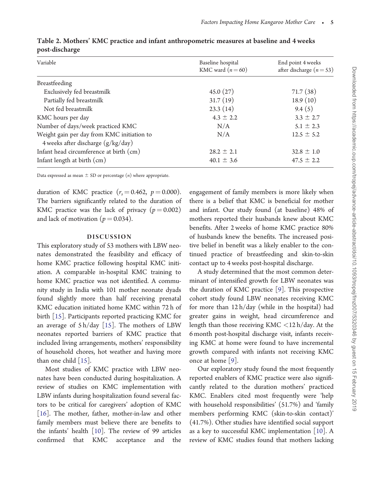|                                            |                   | End point 4 weeks            |  |
|--------------------------------------------|-------------------|------------------------------|--|
| Variable                                   | Baseline hospital |                              |  |
|                                            | KMC ward $(n=60)$ | after discharge ( $n = 53$ ) |  |
| <b>Breastfeeding</b>                       |                   |                              |  |
| Exclusively fed breastmilk                 | 45.0(27)          | 71.7(38)                     |  |
| Partially fed breastmilk                   | 31.7(19)          | 18.9(10)                     |  |
| Not fed breastmilk                         | 23.3(14)          | 9.4(5)                       |  |
| KMC hours per day                          | $4.3 \pm 2.2$     | $3.3 \pm 2.7$                |  |
| Number of days/week practiced KMC          | N/A               | $5.1 \pm 2.3$                |  |
| Weight gain per day from KMC initiation to | N/A               | $12.5 \pm 5.2$               |  |
| 4 weeks after discharge $(g/kg/day)$       |                   |                              |  |
| Infant head circumference at birth (cm)    | $28.2 \pm 2.1$    | $32.8 \pm 1.0$               |  |
| Infant length at birth $\text{(cm)}$       | $40.1 \pm 3.6$    | $47.5 \pm 2.2$               |  |
|                                            |                   |                              |  |

Table 2. Mothers' KMC practice and infant anthropometric measures at baseline and 4 weeks post-discharge

Data expressed as mean  $\pm$  SD or percentage (n) where appropriate.

duration of KMC practice  $(r<sub>s</sub> = 0.462, p = 0.000)$ . The barriers significantly related to the duration of KMC practice was the lack of privacy ( $p = 0.002$ ) and lack of motivation ( $p = 0.034$ ).

#### DISCUSSION

This exploratory study of 53 mothers with LBW neonates demonstrated the feasibility and efficacy of home KMC practice following hospital KMC initiation. A comparable in-hospital KMC training to home KMC practice was not identified. A community study in India with 101 mother neonate dyads found slightly more than half receiving prenatal KMC education initiated home KMC within 72 h of birth [15]. Participants reported practicing KMC for an average of  $5 h/day$  [15]. The mothers of LBW neonates reported barriers of KMC practice that included living arrangements, mothers' responsibility of household chores, hot weather and having more than one child [15].

Most studies of KMC practice with LBW neonates have been conducted during hospitalization. A review of studies on KMC implementation with LBW infants during hospitalization found several factors to be critical for caregivers' adoption of KMC [16]. The mother, father, mother-in-law and other family members must believe there are benefits to the infants' health [10]. The review of 99 articles confirmed that KMC acceptance and the engagement of family members is more likely when there is a belief that KMC is beneficial for mother and infant. Our study found (at baseline) 48% of mothers reported their husbands knew about KMC benefits. After 2 weeks of home KMC practice 80% of husbands knew the benefits. The increased positive belief in benefit was a likely enabler to the continued practice of breastfeeding and skin-to-skin contact up to 4 weeks post-hospital discharge.

A study determined that the most common determinant of intensified growth for LBW neonates was the duration of KMC practice [9]. This prospective cohort study found LBW neonates receiving KMC for more than 12 h/day (while in the hospital) had greater gains in weight, head circumference and length than those receiving KMC <12 h/day. At the 6 month post-hospital discharge visit, infants receiving KMC at home were found to have incremental growth compared with infants not receiving KMC once at home [9].

Our exploratory study found the most frequently reported enablers of KMC practice were also significantly related to the duration mothers' practiced KMC. Enablers cited most frequently were 'help with household responsibilities' (51.7%) and 'family members performing KMC (skin-to-skin contact)' (41.7%). Other studies have identified social support as a key to successful KMC implementation [10]. A review of KMC studies found that mothers lacking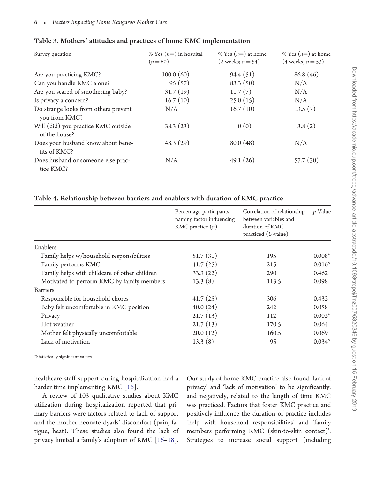| Survey question                                       | % Yes $(n=)$ in hospital<br>$(n=60)$ | % Yes $(n=)$ at home<br>$(2 \text{ weeks}; n = 54)$ | % Yes $(n=)$ at home<br>$(4 \text{ weeks}; n = 53)$ |
|-------------------------------------------------------|--------------------------------------|-----------------------------------------------------|-----------------------------------------------------|
| Are you practicing KMC?                               | 100.0(60)                            | 94.4(51)                                            | 86.8(46)                                            |
| Can you handle KMC alone?                             | 95(57)                               | 83.3 (50)                                           | N/A                                                 |
| Are you scared of smothering baby?                    | 31.7(19)                             | 11.7(7)                                             | N/A                                                 |
| Is privacy a concern?                                 | 16.7(10)                             | 25.0(15)                                            | N/A                                                 |
| Do strange looks from others prevent<br>you from KMC? | N/A                                  | 16.7(10)                                            | 13.5(7)                                             |
| Will (did) you practice KMC outside<br>of the house?  | 38.3(23)                             | 0(0)                                                | 3.8(2)                                              |
| Does your husband know about bene-<br>fits of KMC?    | 48.3(29)                             | 80.0(48)                                            | N/A                                                 |
| Does husband or someone else prac-<br>tice KMC?       | N/A                                  | 49.1 $(26)$                                         | 57.7(30)                                            |

Table 3. Mothers' attitudes and practices of home KMC implementation

# Table 4. Relationship between barriers and enablers with duration of KMC practice

|                                               | Percentage participants<br>naming factor influencing<br>KMC practice $(n)$ | Correlation of relationship<br>between variables and<br>duration of KMC<br>practiced $(U$ -value) | $p$ -Value |
|-----------------------------------------------|----------------------------------------------------------------------------|---------------------------------------------------------------------------------------------------|------------|
| Enablers                                      |                                                                            |                                                                                                   |            |
| Family helps w/household responsibilities     | 51.7(31)                                                                   | 195                                                                                               | $0.008*$   |
| Family performs KMC                           | 41.7(25)                                                                   | 215                                                                                               | $0.016*$   |
| Family helps with childcare of other children | 33.3(22)                                                                   | 290                                                                                               | 0.462      |
| Motivated to perform KMC by family members    | 13.3(8)                                                                    | 113.5                                                                                             | 0.098      |
| <b>Barriers</b>                               |                                                                            |                                                                                                   |            |
| Responsible for household chores              | 41.7(25)                                                                   | 306                                                                                               | 0.432      |
| Baby felt uncomfortable in KMC position       | 40.0(24)                                                                   | 242                                                                                               | 0.058      |
| Privacy                                       | 21.7(13)                                                                   | 112                                                                                               | $0.002*$   |
| Hot weather                                   | 21.7(13)                                                                   | 170.5                                                                                             | 0.064      |
| Mother felt physically uncomfortable          | 20.0(12)                                                                   | 160.5                                                                                             | 0.069      |
| Lack of motivation                            | 13.3(8)                                                                    | 95                                                                                                | $0.034*$   |

\*Statistically significant values.

healthcare staff support during hospitalization had a harder time implementing KMC [16].

A review of 103 qualitative studies about KMC utilization during hospitalization reported that primary barriers were factors related to lack of support and the mother neonate dyads' discomfort (pain, fatigue, heat). These studies also found the lack of privacy limited a family's adoption of KMC [16–18]. Our study of home KMC practice also found 'lack of privacy' and 'lack of motivation' to be significantly, and negatively, related to the length of time KMC was practiced. Factors that foster KMC practice and positively influence the duration of practice includes 'help with household responsibilities' and 'family members performing KMC (skin-to-skin contact)'. Strategies to increase social support (including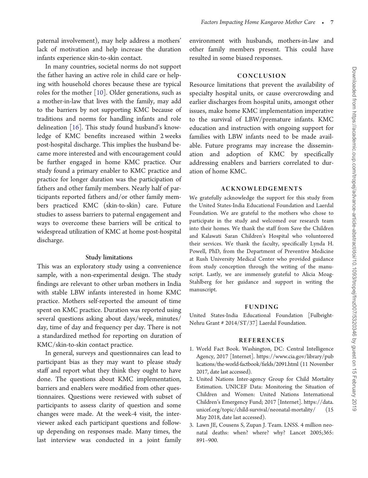paternal involvement), may help address a mothers' lack of motivation and help increase the duration infants experience skin-to-skin contact.

In many countries, societal norms do not support the father having an active role in child care or helping with household chores because these are typical roles for the mother  $[10]$ . Older generations, such as a mother-in-law that lives with the family, may add to the barriers by not supporting KMC because of traditions and norms for handling infants and role delineation [16]. This study found husband's knowledge of KMC benefits increased within 2 weeks post-hospital discharge. This implies the husband became more interested and with encouragement could be further engaged in home KMC practice. Our study found a primary enabler to KMC practice and practice for longer duration was the participation of fathers and other family members. Nearly half of participants reported fathers and/or other family members practiced KMC (skin-to-skin) care. Future studies to assess barriers to paternal engagement and ways to overcome these barriers will be critical to widespread utilization of KMC at home post-hospital discharge.

#### Study limitations

This was an exploratory study using a convenience sample, with a non-experimental design. The study findings are relevant to other urban mothers in India with stable LBW infants interested in home KMC practice. Mothers self-reported the amount of time spent on KMC practice. Duration was reported using several questions asking about days/week, minutes/ day, time of day and frequency per day. There is not a standardized method for reporting on duration of KMC/skin-to-skin contact practice.

In general, surveys and questionnaires can lead to participant bias as they may want to please study staff and report what they think they ought to have done. The questions about KMC implementation, barriers and enablers were modified from other questionnaires. Questions were reviewed with subset of participants to assess clarity of question and some changes were made. At the week-4 visit, the interviewer asked each participant questions and followup depending on responses made. Many times, the last interview was conducted in a joint family environment with husbands, mothers-in-law and other family members present. This could have resulted in some biased responses.

#### CONCLUSION

Resource limitations that prevent the availability of specialty hospital units, or cause overcrowding and earlier discharges from hospital units, amongst other issues, make home KMC implementation imperative to the survival of LBW/premature infants. KMC education and instruction with ongoing support for families with LBW infants need to be made available. Future programs may increase the dissemination and adoption of KMC by specifically addressing enablers and barriers correlated to duration of home KMC.

# ACKNOWLEDGEMENTS

We gratefully acknowledge the support for this study from the United States-India Educational Foundation and Laerdal Foundation. We are grateful to the mothers who chose to participate in the study and welcomed our research team into their homes. We thank the staff from Save the Children and Kalawati Saran Children's Hospital who volunteered their services. We thank the faculty, specifically Lynda H. Powell, PhD, from the Department of Preventive Medicine at Rush University Medical Center who provided guidance from study conception through the writing of the manuscript. Lastly, we are immensely grateful to Alicia Moag-Stahlberg for her guidance and support in writing the manuscript.

#### FUNDING

United States-India Educational Foundation [Fulbright-Nehru Grant # 2014/ST/37] Laerdal Foundation.

#### REFERENCES

- 1. World Fact Book. Washington, DC: Central Intelligence Agency, 2017 [Internet]. https://www.cia.gov/library/pub lications/the-world-factbook/fields/2091.html (11 November 2017, date last accessed).
- 2. United Nations Inter-agency Group for Child Mortality Estimation. UNICEF Data: Monitoring the Situation of Children and Women: United Nations International Children's Emergency Fund; 2017 [Internet]. https://data. unicef.org/topic/child-survival/neonatal-mortality/ (15 May 2018, date last accessed).
- 3. Lawn JE, Cousens S, Zupan J. Team. LNSS. 4 million neonatal deaths: when? where? why? Lancet 2005;365: 891–900.